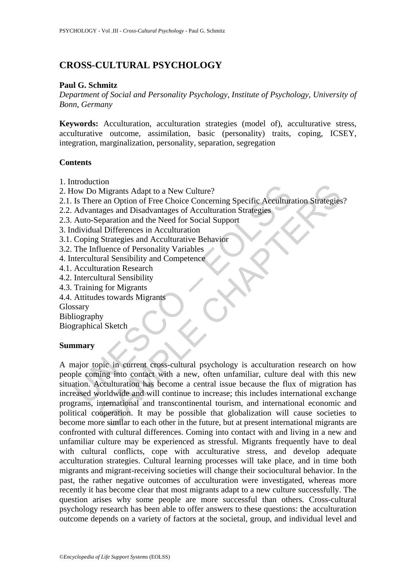# **CROSS-CULTURAL PSYCHOLOGY**

## **Paul G. Schmitz**

*Department of Social and Personality Psychology, Institute of Psychology, University of Bonn, Germany* 

**Keywords:** Acculturation, acculturation strategies (model of), acculturative stress, acculturative outcome, assimilation, basic (personality) traits, coping, ICSEY, integration, marginalization, personality, separation, segregation

## **Contents**

- 1. Introduction
- 2. How Do Migrants Adapt to a New Culture?
- 2.1. Is There an Option of Free Choice Concerning Specific Acculturation Strategies?
- 2.2. Advantages and Disadvantages of Acculturation Strategies
- 2.3. Auto-Separation and the Need for Social Support
- 3. Individual Differences in Acculturation
- 3.1. Coping Strategies and Acculturative Behavior
- 3.2. The Influence of Personality Variables
- 4. Intercultural Sensibility and Competence
- 4.1. Acculturation Research
- 4.2. Intercultural Sensibility
- 4.3. Training for Migrants
- 4.4. Attitudes towards Migrants

Glossary

Bibliography

Biographical Sketch

#### **Summary**

Francescond<br>
Iow Do Migrants Adapt to a New Culture?<br>
Is There an Option of Free Choice Concerning Specific Accultura<br>
Advantages and Disadvantages of Acculturation Strategies<br>
Auto-Separation and the Need for Social Suppo Continues May to a New Culture?<br>
Migrants Adapt to a New Culture?<br>
re an Option of Free Choice Concerning Specific Acculturation Strategies<br>
segnation and the Need for Social Support<br>
al Differences in Acculturation<br>
al Di A major topic in current cross-cultural psychology is acculturation research on how people coming into contact with a new, often unfamiliar, culture deal with this new situation. Acculturation has become a central issue because the flux of migration has increased worldwide and will continue to increase; this includes international exchange programs, international and transcontinental tourism, and international economic and political cooperation. It may be possible that globalization will cause societies to become more similar to each other in the future, but at present international migrants are confronted with cultural differences. Coming into contact with and living in a new and unfamiliar culture may be experienced as stressful. Migrants frequently have to deal with cultural conflicts, cope with acculturative stress, and develop adequate acculturation strategies. Cultural learning processes will take place, and in time both migrants and migrant-receiving societies will change their sociocultural behavior. In the past, the rather negative outcomes of acculturation were investigated, whereas more recently it has become clear that most migrants adapt to a new culture successfully. The question arises why some people are more successful than others. Cross-cultural psychology research has been able to offer answers to these questions: the acculturation outcome depends on a variety of factors at the societal, group, and individual level and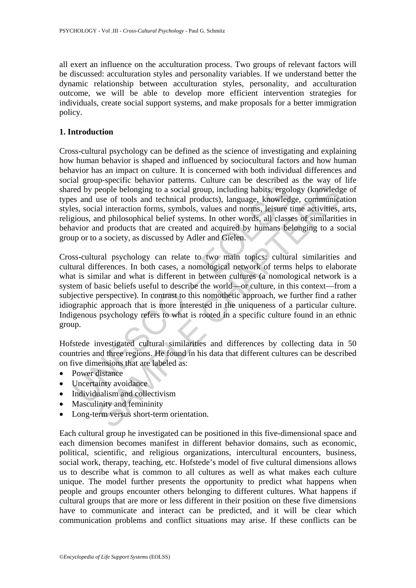all exert an influence on the acculturation process. Two groups of relevant factors will be discussed: acculturation styles and personality variables. If we understand better the dynamic relationship between acculturation styles, personality, and acculturation outcome, we will be able to develop more efficient intervention strategies for individuals, create social support systems, and make proposals for a better immigration policy.

## **1. Introduction**

Cross-cultural psychology can be defined as the science of investigating and explaining how human behavior is shaped and influenced by sociocultural factors and how human behavior has an impact on culture. It is concerned with both individual differences and social group-specific behavior patterns. Culture can be described as the way of life shared by people belonging to a social group, including habits, ergology (knowledge of types and use of tools and technical products), language, knowledge, communication styles, social interaction forms, symbols, values and norms, leisure time activities, arts, religious, and philosophical belief systems. In other words, all classes of similarities in behavior and products that are created and acquired by humans belonging to a social group or to a society, as discussed by Adler and Gielen.

red by people belonging to a social group, including habits, ergols<br>s and use of tools and technical products), language, knowledg<br>s, social interaction forms, symbols, values and norms, leisure ti<br>gious, and philosophical people belonging to a social group, including habits, ergology (knowledguse of tools and technical products), language, knowledge, communical interaction forms, symbols, values and norms, leisure time activities, and activ Cross-cultural psychology can relate to two main topics: cultural similarities and cultural differences. In both cases, a nomological network of terms helps to elaborate what is similar and what is different in between cultures (a nomological network is a system of basic beliefs useful to describe the world—or culture, in this context—from a subjective perspective). In contrast to this nomothetic approach, we further find a rather idiographic approach that is more interested in the uniqueness of a particular culture. Indigenous psychology refers to what is rooted in a specific culture found in an ethnic group.

Hofstede investigated cultural similarities and differences by collecting data in 50 countries and three regions. He found in his data that different cultures can be described on five dimensions that are labeled as:

- Power distance
- Uncertainty avoidance
- Individualism and collectivism
- Masculinity and femininity
- Long-term versus short-term orientation.

Each cultural group he investigated can be positioned in this five-dimensional space and each dimension becomes manifest in different behavior domains, such as economic, political, scientific, and religious organizations, intercultural encounters, business, social work, therapy, teaching, etc. Hofstede's model of five cultural dimensions allows us to describe what is common to all cultures as well as what makes each culture unique. The model further presents the opportunity to predict what happens when people and groups encounter others belonging to different cultures. What happens if cultural groups that are more or less different in their position on these five dimensions have to communicate and interact can be predicted, and it will be clear which communication problems and conflict situations may arise. If these conflicts can be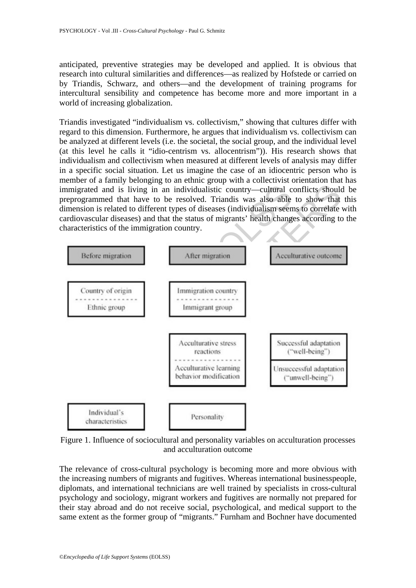anticipated, preventive strategies may be developed and applied. It is obvious that research into cultural similarities and differences—as realized by Hofstede or carried on by Triandis, Schwarz, and others—and the development of training programs for intercultural sensibility and competence has become more and more important in a world of increasing globalization.

Triandis investigated "individualism vs. collectivism," showing that cultures differ with regard to this dimension. Furthermore, he argues that individualism vs. collectivism can be analyzed at different levels (i.e. the societal, the social group, and the individual level (at this level he calls it "idio-centrism vs. allocentrism")). His research shows that individualism and collectivism when measured at different levels of analysis may differ in a specific social situation. Let us imagine the case of an idiocentric person who is member of a family belonging to an ethnic group with a collectivist orientation that has immigrated and is living in an individualistic country—cultural conflicts should be preprogrammed that have to be resolved. Triandis was also able to show that this dimension is related to different types of diseases (individualism seems to correlate with cardiovascular diseases) and that the status of migrants' health changes according to the characteristics of the immigration country.



Figure 1. Influence of sociocultural and personality variables on acculturation processes and acculturation outcome

The relevance of cross-cultural psychology is becoming more and more obvious with the increasing numbers of migrants and fugitives. Whereas international businesspeople, diplomats, and international technicians are well trained by specialists in cross-cultural psychology and sociology, migrant workers and fugitives are normally not prepared for their stay abroad and do not receive social, psychological, and medical support to the same extent as the former group of "migrants." Furnham and Bochner have documented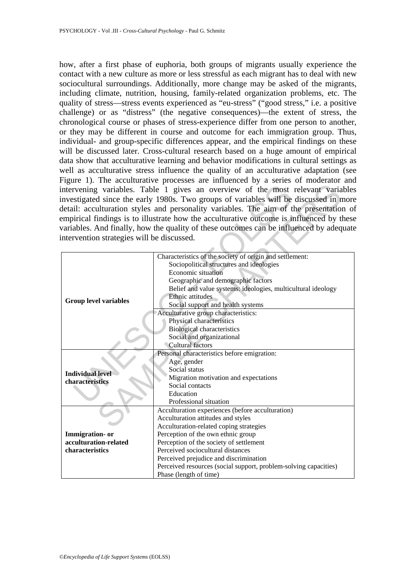how, after a first phase of euphoria, both groups of migrants usually experience the contact with a new culture as more or less stressful as each migrant has to deal with new sociocultural surroundings. Additionally, more change may be asked of the migrants, including climate, nutrition, housing, family-related organization problems, etc. The quality of stress—stress events experienced as "eu-stress" ("good stress," i.e. a positive challenge) or as "distress" (the negative consequences)—the extent of stress, the chronological course or phases of stress-experience differ from one person to another, or they may be different in course and outcome for each immigration group. Thus, individual- and group-specific differences appear, and the empirical findings on these will be discussed later. Cross-cultural research based on a huge amount of empirical data show that acculturative learning and behavior modifications in cultural settings as well as acculturative stress influence the quality of an acculturative adaptation (see Figure 1). The acculturative processes are influenced by a series of moderator and intervening variables. Table 1 gives an overview of the most relevant variables investigated since the early 1980s. Two groups of variables will be discussed in more detail: acculturation styles and personality variables. The aim of the presentation of empirical findings is to illustrate how the acculturative outcome is influenced by these variables. And finally, how the quality of these outcomes can be influenced by adequate intervention strategies will be discussed.

|                                                                                          | intervening variables. Table 1 gives an overview of the most relevant variables<br>investigated since the early 1980s. Two groups of variables will be discussed in more |  |
|------------------------------------------------------------------------------------------|--------------------------------------------------------------------------------------------------------------------------------------------------------------------------|--|
| detail: acculturation styles and personality variables. The aim of the presentation of   |                                                                                                                                                                          |  |
| empirical findings is to illustrate how the acculturative outcome is influenced by these |                                                                                                                                                                          |  |
|                                                                                          |                                                                                                                                                                          |  |
| variables. And finally, how the quality of these outcomes can be influenced by adequate  |                                                                                                                                                                          |  |
| intervention strategies will be discussed.                                               |                                                                                                                                                                          |  |
|                                                                                          |                                                                                                                                                                          |  |
| <b>Group level variables</b>                                                             | Characteristics of the society of origin and settlement:                                                                                                                 |  |
|                                                                                          | Sociopolitical structures and ideologies                                                                                                                                 |  |
|                                                                                          | Economic situation                                                                                                                                                       |  |
|                                                                                          | Geographic and demographic factors                                                                                                                                       |  |
|                                                                                          | Belief and value systems: ideologies, multicultural ideology                                                                                                             |  |
|                                                                                          | Ethnic attitudes                                                                                                                                                         |  |
|                                                                                          | Social support and health systems                                                                                                                                        |  |
|                                                                                          | Acculturative group characteristics:                                                                                                                                     |  |
|                                                                                          | Physical characteristics                                                                                                                                                 |  |
|                                                                                          | <b>Biological characteristics</b>                                                                                                                                        |  |
|                                                                                          | Social and organizational                                                                                                                                                |  |
|                                                                                          | Cultural factors                                                                                                                                                         |  |
| <b>Individual level</b><br>characteristics                                               | Personal characteristics before emigration:                                                                                                                              |  |
|                                                                                          | Age, gender                                                                                                                                                              |  |
|                                                                                          | Social status                                                                                                                                                            |  |
|                                                                                          | Migration motivation and expectations                                                                                                                                    |  |
|                                                                                          | Social contacts                                                                                                                                                          |  |
|                                                                                          | Education                                                                                                                                                                |  |
|                                                                                          | Professional situation                                                                                                                                                   |  |
|                                                                                          | Acculturation experiences (before acculturation)                                                                                                                         |  |
|                                                                                          | Acculturation attitudes and styles                                                                                                                                       |  |
|                                                                                          | Acculturation-related coping strategies                                                                                                                                  |  |
| Immigration- or                                                                          | Perception of the own ethnic group                                                                                                                                       |  |
| acculturation-related                                                                    | Perception of the society of settlement                                                                                                                                  |  |
| characteristics                                                                          | Perceived sociocultural distances                                                                                                                                        |  |
|                                                                                          | Perceived prejudice and discrimination                                                                                                                                   |  |
|                                                                                          | Perceived resources (social support, problem-solving capacities)                                                                                                         |  |
|                                                                                          | Phase (length of time)                                                                                                                                                   |  |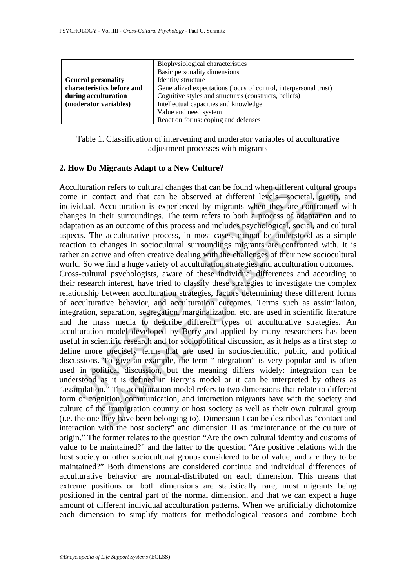|                            | Biophysiological characteristics                                 |
|----------------------------|------------------------------------------------------------------|
|                            | Basic personality dimensions                                     |
| <b>General personality</b> | Identity structure                                               |
| characteristics before and | Generalized expectations (locus of control, interpersonal trust) |
| during acculturation       | Cognitive styles and structures (constructs, beliefs)            |
| (moderator variables)      | Intellectual capacities and knowledge                            |
|                            | Value and need system                                            |
|                            | Reaction forms: coping and defenses                              |

Table 1. Classification of intervening and moderator variables of acculturative adjustment processes with migrants

## **2. How Do Migrants Adapt to a New Culture?**

ulturation refers to cultural changes that can be found when differe in contact and that can be observed at different levels—sc<br>vidual. Acculturation is experienced by migrants when they are<br>respected by migration as an ou ion refers to cultural changes that can be found when different cultural grontated and that can be observed at different levels—societal, group, Acculturation is experienced by migrants when they are confronted their surro Acculturation refers to cultural changes that can be found when different cultural groups come in contact and that can be observed at different levels—societal, group, and individual. Acculturation is experienced by migrants when they are confronted with changes in their surroundings. The term refers to both a process of adaptation and to adaptation as an outcome of this process and includes psychological, social, and cultural aspects. The acculturative process, in most cases, cannot be understood as a simple reaction to changes in sociocultural surroundings migrants are confronted with. It is rather an active and often creative dealing with the challenges of their new sociocultural world. So we find a huge variety of acculturation strategies and acculturation outcomes. Cross-cultural psychologists, aware of these individual differences and according to their research interest, have tried to classify these strategies to investigate the complex relationship between acculturation strategies, factors determining these different forms of acculturative behavior, and acculturation outcomes. Terms such as assimilation, integration, separation, segregation, marginalization, etc. are used in scientific literature and the mass media to describe different types of acculturative strategies. An acculturation model developed by Berry and applied by many researchers has been

useful in scientific research and for sociopolitical discussion, as it helps as a first step to define more precisely terms that are used in socioscientific, public, and political discussions. To give an example, the term "integration" is very popular and is often used in political discussion, but the meaning differs widely: integration can be understood as it is defined in Berry's model or it can be interpreted by others as "assimilation." The acculturation model refers to two dimensions that relate to different form of cognition, communication, and interaction migrants have with the society and culture of the immigration country or host society as well as their own cultural group (i.e. the one they have been belonging to). Dimension I can be described as "contact and interaction with the host society" and dimension II as "maintenance of the culture of origin." The former relates to the question "Are the own cultural identity and customs of value to be maintained?" and the latter to the question "Are positive relations with the host society or other sociocultural groups considered to be of value, and are they to be maintained?" Both dimensions are considered continua and individual differences of acculturative behavior are normal-distributed on each dimension. This means that extreme positions on both dimensions are statistically rare, most migrants being positioned in the central part of the normal dimension, and that we can expect a huge amount of different individual acculturation patterns. When we artificially dichotomize each dimension to simplify matters for methodological reasons and combine both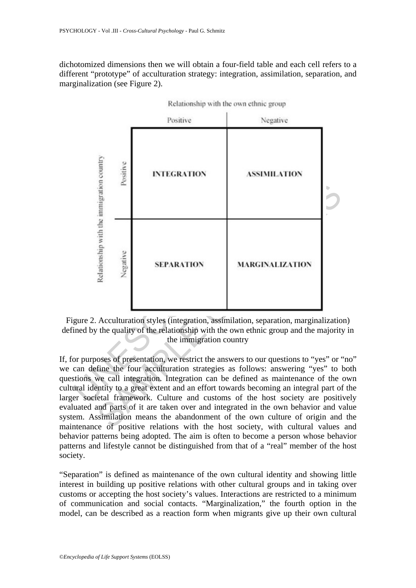dichotomized dimensions then we will obtain a four-field table and each cell refers to a different "prototype" of acculturation strategy: integration, assimilation, separation, and marginalization (see Figure 2).



Relationship with the own ethnic group

Figure 2. Acculturation styles (integration, assimilation, separation, marginalization) defined by the quality of the relationship with the own ethnic group and the majority in the immigration country

If, for purposes of presentation, we restrict the answers to our questions to "yes" or "no" we can define the four acculturation strategies as follows: answering "yes" to both questions we call integration. Integration can be defined as maintenance of the own cultural identity to a great extent and an effort towards becoming an integral part of the larger societal framework. Culture and customs of the host society are positively evaluated and parts of it are taken over and integrated in the own behavior and value system. Assimilation means the abandonment of the own culture of origin and the maintenance of positive relations with the host society, with cultural values and behavior patterns being adopted. The aim is often to become a person whose behavior patterns and lifestyle cannot be distinguished from that of a "real" member of the host society.

"Separation" is defined as maintenance of the own cultural identity and showing little interest in building up positive relations with other cultural groups and in taking over customs or accepting the host society's values. Interactions are restricted to a minimum of communication and social contacts. "Marginalization," the fourth option in the model, can be described as a reaction form when migrants give up their own cultural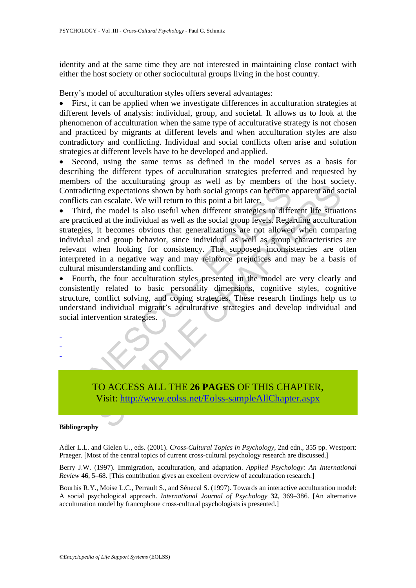identity and at the same time they are not interested in maintaining close contact with either the host society or other sociocultural groups living in the host country.

Berry's model of acculturation styles offers several advantages:

• First, it can be applied when we investigate differences in acculturation strategies at different levels of analysis: individual, group, and societal. It allows us to look at the phenomenon of acculturation when the same type of acculturative strategy is not chosen and practiced by migrants at different levels and when acculturation styles are also contradictory and conflicting. Individual and social conflicts often arise and solution strategies at different levels have to be developed and applied.

• Second, using the same terms as defined in the model serves as a basis for describing the different types of acculturation strategies preferred and requested by members of the acculturating group as well as by members of the host society. Contradicting expectations shown by both social groups can become apparent and social conflicts can escalate. We will return to this point a bit later.

tradicting expectations shown by both social groups can become and<br>tradicting expectations shown by both social groups can become if<br>licts can escalate. We will return to this point a bit later.<br>Third, the model is also us Frame the containing group at word as by members of an excellent and some apparent and some scalate. We will return to this point a bit later, the model is also useful when different strategies in different life situated a • Third, the model is also useful when different strategies in different life situations are practiced at the individual as well as the social group levels. Regarding acculturation strategies, it becomes obvious that generalizations are not allowed when comparing individual and group behavior, since individual as well as group characteristics are relevant when looking for consistency. The supposed inconsistencies are often interpreted in a negative way and may reinforce prejudices and may be a basis of cultural misunderstanding and conflicts.

• Fourth, the four acculturation styles presented in the model are very clearly and consistently related to basic personality dimensions, cognitive styles, cognitive structure, conflict solving, and coping strategies. These research findings help us to understand individual migrant's acculturative strategies and develop individual and social intervention strategies.



#### **Bibliography**

- - -

Adler L.L. and Gielen U., eds. (2001). *Cross-Cultural Topics in Psychology*, 2nd edn., 355 pp. Westport: Praeger. [Most of the central topics of current cross-cultural psychology research are discussed.]

Berry J.W. (1997). Immigration, acculturation, and adaptation. *Applied Psychology: An International Review* **46**, 5–68. [This contribution gives an excellent overview of acculturation research.]

Bourhis R.Y., Moise L.C., Perrault S., and Sénecal S. (1997). Towards an interactive acculturation model: A social psychological approach. *International Journal of Psychology* **32**, 369–386. [An alternative acculturation model by francophone cross-cultural psychologists is presented.]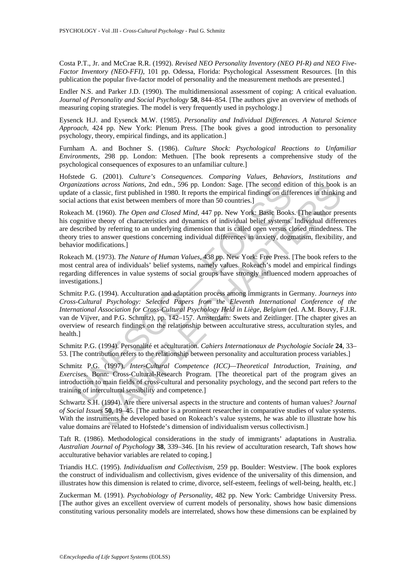Costa P.T., Jr. and McCrae R.R. (1992). *Revised NEO Personality Inventory (NEO PI-R) and NEO Five-Factor Inventory (NEO-FFI)*, 101 pp. Odessa, Florida: Psychological Assessment Resources. [In this publication the popular five-factor model of personality and the measurement methods are presented.]

Endler N.S. and Parker J.D. (1990). The multidimensional assessment of coping: A critical evaluation. *Journal of Personality and Social Psychology* **58**, 844–854. [The authors give an overview of methods of measuring coping strategies. The model is very frequently used in psychology.]

Eysenck H.J. and Eysenck M.W. (1985). *Personality and Individual Differences. A Natural Science Approach*, 424 pp. New York: Plenum Press. [The book gives a good introduction to personality psychology, theory, empirical findings, and its application.]

Furnham A. and Bochner S. (1986). *Culture Shock: Psychological Reactions to Unfamiliar Environments*, 298 pp. London: Methuen. [The book represents a comprehensive study of the psychological consequences of exposures to an unfamiliar culture.]

Hofstede G. (2001). *Culture's Consequences. Comparing Values, Behaviors, Institutions and Organizations across Nations*, 2nd edn., 596 pp. London: Sage. [The second edition of this book is an update of a classic, first published in 1980. It reports the empirical findings on differences in thinking and social actions that exist between members of more than 50 countries.]

Rokeach M. (1960). *The Open and Closed Mind*, 447 pp. New York: Basic Books. [The author presents his cognitive theory of characteristics and dynamics of individual belief systems. Individual differences are described by referring to an underlying dimension that is called open versus closed mindedness. The theory tries to answer questions concerning individual differences in anxiety, dogmatism, flexibility, and behavior modifications.]

Rokeach M. (1973). *The Nature of Human Values*, 438 pp. New York: Free Press. [The book refers to the most central area of individuals' belief systems, namely values. Rokeach's model and empirical findings regarding differences in value systems of social groups have strongly influenced modern approaches of investigations.]

*mazations across Nations,* 2nd den, 596 pp. London: Sage. [The second editive de of a classic, first published in 1980. It reports the empirical findings on differential actions that exist between members of more than 50 *s across Nations,* 2nd edn., 596 pp. London: Sage. [The second edition of this book<br>lassic, first published in 1980. It reports the empirical findings on differences in thinking<br>that exist between members of more than 50 Schmitz P.G. (1994). Acculturation and adaptation process among immigrants in Germany. *Journeys into Cross-Cultural Psychology: Selected Papers from the Eleventh International Conference of the International Association for Cross-Cultural Psychology Held in Liège, Belgium* (ed. A.M. Bouvy, F.J.R. van de Vijver, and P.G. Schmitz), pp. 142–157. Amsterdam: Swets and Zeitlinger. [The chapter gives an overview of research findings on the relationship between acculturative stress, acculturation styles, and health.]

Schmitz P.G. (1994). Personalité et acculturation. *Cahiers Internationaux de Psychologie Sociale* **24**, 33– 53. [The contribution refers to the relationship between personality and acculturation process variables.]

Schmitz P.G. (1997). *Inter-Cultural Competence (ICC)—Theoretical Introduction, Training, and Exercises*. Bonn: Cross-Cultural-Research Program. [The theoretical part of the program gives an introduction to main fields of cross-cultural and personality psychology, and the second part refers to the training of intercultural sensibility and competence.]

Schwartz S.H. (1994). Are there universal aspects in the structure and contents of human values? *Journal of Social Issues* **50**, 19–45. [The author is a prominent researcher in comparative studies of value systems. With the instruments he developed based on Rokeach's value systems, he was able to illustrate how his value domains are related to Hofstede's dimension of individualism versus collectivism.]

Taft R. (1986). Methodological considerations in the study of immigrants' adaptations in Australia. *Australian Journal of Psychology* **38**, 339–346. [In his review of acculturation research, Taft shows how acculturative behavior variables are related to coping.]

Triandis H.C. (1995). *Individualism and Collectivism*, 259 pp. Boulder: Westview. [The book explores the construct of individualism and collectivism, gives evidence of the universality of this dimension, and illustrates how this dimension is related to crime, divorce, self-esteem, feelings of well-being, health, etc.]

Zuckerman M. (1991). *Psychobiology of Personality*, 482 pp. New York: Cambridge University Press. [The author gives an excellent overview of current models of personality, shows how basic dimensions constituting various personality models are interrelated, shows how these dimensions can be explained by